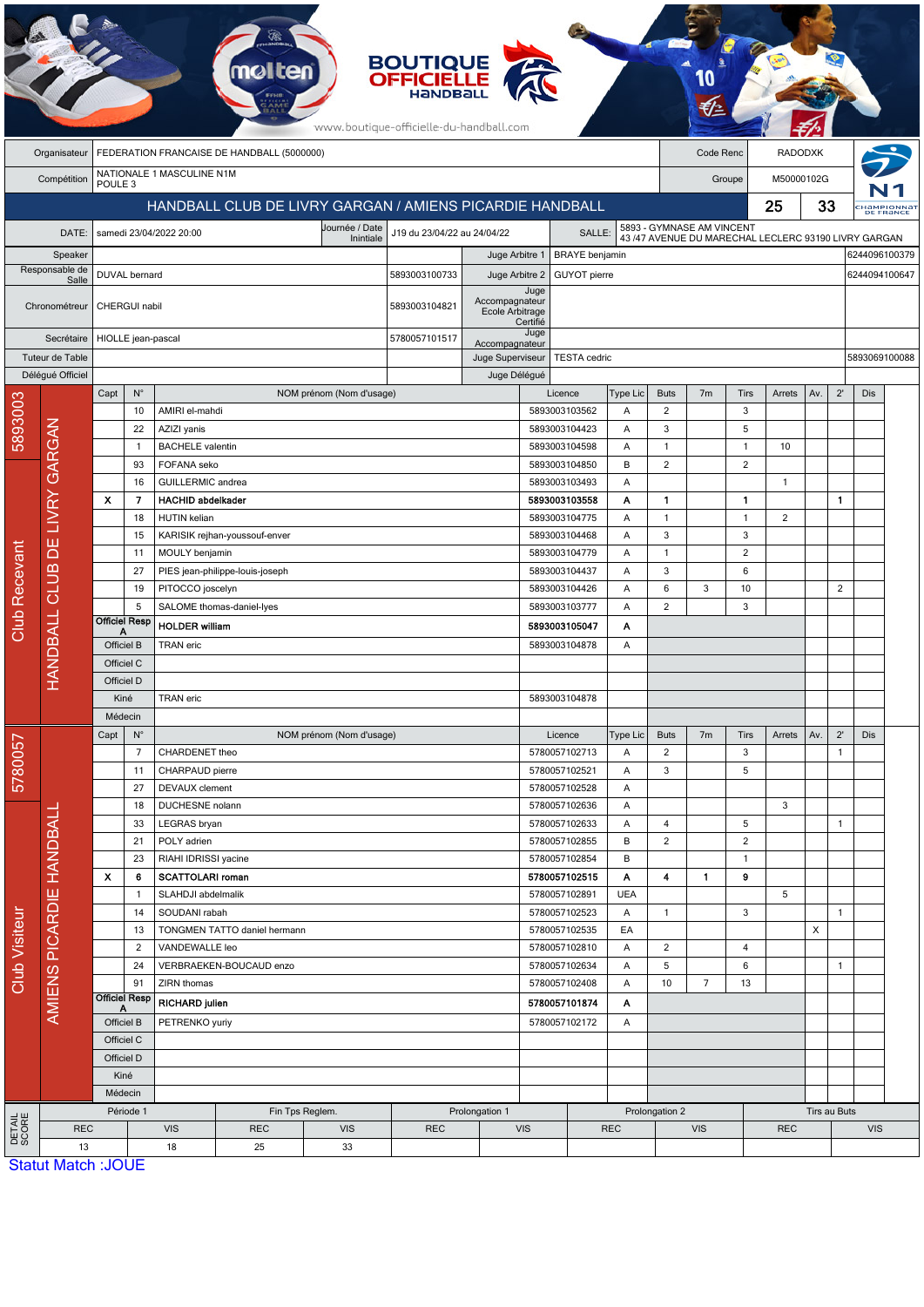| <b>BOUTIQUE<br/>OFFICIELLE</b><br>www.boutique-officielle-du-handball.com |                                                          |                                                 |                                    |                                      |                                                 |                                       |                    |                                          |                                |                                                                                  |                                            |                      |                |                     |                            |     |                |                                        |  |  |  |
|---------------------------------------------------------------------------|----------------------------------------------------------|-------------------------------------------------|------------------------------------|--------------------------------------|-------------------------------------------------|---------------------------------------|--------------------|------------------------------------------|--------------------------------|----------------------------------------------------------------------------------|--------------------------------------------|----------------------|----------------|---------------------|----------------------------|-----|----------------|----------------------------------------|--|--|--|
|                                                                           | Organisateur                                             | FEDERATION FRANCAISE DE HANDBALL (5000000)      |                                    |                                      |                                                 |                                       |                    |                                          |                                |                                                                                  | Code Renc                                  |                      | <b>RADODXK</b> |                     |                            |     |                |                                        |  |  |  |
|                                                                           | Compétition                                              | NATIONALE 1 MASCULINE N1M<br>POULE <sub>3</sub> |                                    |                                      |                                                 |                                       |                    |                                          |                                |                                                                                  |                                            | M50000102G<br>Groupe |                |                     |                            |     |                |                                        |  |  |  |
|                                                                           | HANDBALL CLUB DE LIVRY GARGAN / AMIENS PICARDIE HANDBALL |                                                 |                                    |                                      |                                                 |                                       |                    |                                          |                                |                                                                                  |                                            | 25                   |                |                     | 33                         |     |                | :Hampionna <mark>t</mark><br>DE FRANCE |  |  |  |
|                                                                           | DATE:                                                    |                                                 |                                    | samedi 23/04/2022 20:00              |                                                 | J19 du 23/04/22 au 24/04/22<br>SALLE: |                    |                                          |                                | 5893 - GYMNASE AM VINCENT<br>43/47 AVENUE DU MARECHAL LECLERC 93190 LIVRY GARGAN |                                            |                      |                |                     |                            |     |                |                                        |  |  |  |
| Speaker                                                                   |                                                          |                                                 |                                    |                                      |                                                 |                                       | Juge Arbitre 1     |                                          | <b>BRAYE</b> benjamin          |                                                                                  |                                            |                      |                |                     |                            |     | 6244096100379  |                                        |  |  |  |
| Responsable de                                                            |                                                          | DUVAL bernard                                   |                                    |                                      |                                                 |                                       | 5893003100733      | Juge Arbitre 2<br><b>GUYOT</b> pierre    |                                |                                                                                  |                                            |                      |                |                     |                            |     | 6244094100647  |                                        |  |  |  |
| Salle                                                                     |                                                          |                                                 |                                    |                                      |                                                 |                                       |                    | Accompagnateur                           | Juge                           |                                                                                  |                                            |                      |                |                     |                            |     |                |                                        |  |  |  |
| Chronométreur                                                             |                                                          |                                                 | CHERGUI nabil                      |                                      |                                                 | 5893003104821                         | Ecole Arbitrage    | Certifié                                 |                                |                                                                                  |                                            |                      |                |                     |                            |     |                |                                        |  |  |  |
|                                                                           | Secrétaire                                               |                                                 | HIOLLE jean-pascal                 |                                      | 5780057101517                                   | Accompagnateur                        | Juge               |                                          |                                |                                                                                  |                                            |                      |                |                     |                            |     |                |                                        |  |  |  |
|                                                                           | Tuteur de Table                                          |                                                 |                                    |                                      |                                                 |                                       |                    | Juge Superviseur                         | <b>TESTA</b> cedric            |                                                                                  |                                            |                      |                |                     |                            |     | 5893069100088  |                                        |  |  |  |
|                                                                           | Déléqué Officiel                                         |                                                 |                                    |                                      |                                                 |                                       |                    |                                          | Juge Délégué                   |                                                                                  |                                            |                      |                |                     |                            |     |                |                                        |  |  |  |
|                                                                           |                                                          | Capt                                            | $\mathsf{N}^\circ$<br>10           | AMIRI el-mahdi                       |                                                 | NOM prénom (Nom d'usage)              |                    |                                          |                                | Licence<br>5893003103562                                                         | Type Lic<br>Α                              | <b>Buts</b><br>2     | 7 <sub>m</sub> | Tirs<br>3           | Arrets                     | Av. | $2^{\prime}$   | Dis                                    |  |  |  |
| 5893003                                                                   |                                                          |                                                 | 22                                 | AZIZI yanis                          |                                                 |                                       |                    |                                          |                                | 5893003104423                                                                    | Α                                          | 3                    |                | 5                   |                            |     |                |                                        |  |  |  |
|                                                                           |                                                          |                                                 | $\mathbf{1}$                       | <b>BACHELE</b> valentin              |                                                 |                                       |                    |                                          |                                | 5893003104598                                                                    | $\mathsf{A}$                               | $\mathbf{1}$         |                | $\mathbf{1}$        | 10                         |     |                |                                        |  |  |  |
|                                                                           |                                                          |                                                 | 93                                 | FOFANA seko                          |                                                 |                                       |                    |                                          |                                | 5893003104850                                                                    | B                                          | 2                    |                | 2                   |                            |     |                |                                        |  |  |  |
|                                                                           |                                                          |                                                 | 16                                 | GUILLERMIC andrea                    |                                                 |                                       |                    |                                          |                                | 5893003103493                                                                    | Α                                          |                      |                |                     | $\mathbf{1}$               |     |                |                                        |  |  |  |
|                                                                           |                                                          | $\boldsymbol{\mathsf{x}}$                       | 7                                  | <b>HACHID abdelkader</b>             |                                                 |                                       |                    |                                          |                                | 5893003103558                                                                    | A                                          | $\mathbf{1}$         |                | $\mathbf{1}$        |                            |     | 1              |                                        |  |  |  |
|                                                                           | DE LIVRY GARGAN<br>CLUB<br>HANDBALL                      |                                                 | 18<br>15                           | HUTIN kelian                         | KARISIK rejhan-youssouf-enver                   |                                       |                    |                                          | 5893003104775<br>5893003104468 |                                                                                  | Α<br>$\overline{A}$                        | $\overline{1}$<br>3  |                | $\overline{1}$<br>3 | $\overline{2}$             |     |                |                                        |  |  |  |
|                                                                           |                                                          |                                                 | 11                                 | MOULY benjamin                       |                                                 |                                       |                    |                                          |                                | 5893003104779                                                                    | A                                          | 1                    |                | 2                   |                            |     |                |                                        |  |  |  |
|                                                                           |                                                          |                                                 | 27                                 |                                      | PIES jean-philippe-louis-joseph                 |                                       |                    |                                          |                                | 5893003104437                                                                    | A                                          | 3                    |                | 6                   |                            |     |                |                                        |  |  |  |
| <b>Club Recevant</b>                                                      |                                                          |                                                 | 19                                 | PITOCCO joscelyn                     |                                                 |                                       |                    |                                          |                                | 5893003104426                                                                    | $\overline{A}$                             | 6                    | 3              | 10                  |                            |     | $\overline{2}$ |                                        |  |  |  |
|                                                                           |                                                          |                                                 | 5<br><b>Officiel Resp</b>          | SALOME thomas-daniel-lyes            |                                                 |                                       |                    |                                          | 5893003103777                  | Α                                                                                | 2                                          |                      | 3              |                     |                            |     |                |                                        |  |  |  |
|                                                                           |                                                          | A                                               |                                    | <b>HOLDER</b> william                |                                                 |                                       |                    |                                          | 5893003105047                  | Α                                                                                |                                            |                      |                |                     |                            |     |                |                                        |  |  |  |
|                                                                           |                                                          | Officiel B<br>Officiel C                        |                                    | <b>TRAN</b> eric                     |                                                 |                                       |                    |                                          | 5893003104878                  | A                                                                                |                                            |                      |                |                     |                            |     |                |                                        |  |  |  |
|                                                                           |                                                          | Officiel D                                      |                                    |                                      |                                                 |                                       |                    |                                          |                                |                                                                                  |                                            |                      |                |                     |                            |     |                |                                        |  |  |  |
|                                                                           |                                                          | Kiné                                            |                                    | TRAN eric                            |                                                 |                                       |                    | 5893003104878                            |                                |                                                                                  |                                            |                      |                |                     |                            |     |                |                                        |  |  |  |
|                                                                           |                                                          | Médecin                                         |                                    |                                      |                                                 |                                       |                    |                                          |                                |                                                                                  |                                            |                      |                |                     |                            |     |                |                                        |  |  |  |
|                                                                           |                                                          | $\mathsf{N}^\circ$<br>Capt                      |                                    |                                      |                                                 | NOM prénom (Nom d'usage)              |                    |                                          |                                | Licence                                                                          | Type Lic                                   | <b>Buts</b>          | 7 <sub>m</sub> | Tirs                | Arrets                     | Av. | $2^{\prime}$   | Dis                                    |  |  |  |
| 5780057<br><b>Club Visiteur</b>                                           |                                                          |                                                 | $\overline{7}$                     | CHARDENET theo                       |                                                 |                                       |                    |                                          |                                | 5780057102713                                                                    | A                                          | 2                    |                | 3                   |                            |     | $\mathbf{1}$   |                                        |  |  |  |
|                                                                           |                                                          |                                                 | 11<br>27                           | CHARPAUD pierre<br>DEVAUX clement    |                                                 |                                       |                    |                                          | 5780057102521<br>5780057102528 | Α<br>Α                                                                           | 3                                          |                      | 5              |                     |                            |     |                |                                        |  |  |  |
|                                                                           |                                                          |                                                 | 18                                 | DUCHESNE nolann<br>LEGRAS bryan      |                                                 |                                       |                    |                                          |                                |                                                                                  | Α                                          |                      |                |                     | 3                          |     |                |                                        |  |  |  |
|                                                                           | AMIENS PICARDIE HANDBALL                                 |                                                 | 33                                 |                                      |                                                 |                                       |                    |                                          |                                | 5780057102633                                                                    | A                                          | 4                    |                | 5                   |                            |     | 1              |                                        |  |  |  |
|                                                                           |                                                          |                                                 | 21                                 | POLY adrien                          |                                                 |                                       |                    |                                          |                                | 5780057102855                                                                    | B                                          | $\overline{2}$       |                | $\overline{2}$      |                            |     |                |                                        |  |  |  |
|                                                                           |                                                          | $\boldsymbol{\mathsf{x}}$                       | 23<br>6                            |                                      | RIAHI IDRISSI yacine<br><b>SCATTOLARI</b> roman |                                       |                    |                                          |                                | 5780057102854                                                                    | B<br>Α                                     | 4                    | $\mathbf{1}$   | $\mathbf{1}$<br>9   |                            |     |                |                                        |  |  |  |
|                                                                           |                                                          |                                                 | $\mathbf{1}$<br>SLAHDJI abdelmalik |                                      |                                                 |                                       |                    | 5780057102515<br>5780057102891           |                                | <b>UEA</b>                                                                       |                                            |                      |                | 5                   |                            |     |                |                                        |  |  |  |
|                                                                           |                                                          |                                                 | 14                                 | SOUDANI rabah                        |                                                 |                                       |                    |                                          |                                | 5780057102523                                                                    | Α                                          | $\mathbf{1}$         |                | 3                   |                            |     | $\mathbf{1}$   |                                        |  |  |  |
|                                                                           |                                                          |                                                 | 13<br>TONGMEN TATTO daniel hermann |                                      |                                                 |                                       |                    | 5780057102535                            |                                | EA                                                                               |                                            |                      |                |                     | X                          |     |                |                                        |  |  |  |
|                                                                           |                                                          |                                                 | $\overline{2}$                     | VANDEWALLE leo                       |                                                 |                                       |                    |                                          |                                | 5780057102810                                                                    | Α<br>A                                     | $\overline{c}$       |                | $\overline{4}$      |                            |     |                |                                        |  |  |  |
|                                                                           |                                                          |                                                 | 24<br>91                           |                                      | VERBRAEKEN-BOUCAUD enzo                         |                                       |                    |                                          | 5780057102634                  |                                                                                  | 5                                          |                      | 6              |                     |                            | 1   |                |                                        |  |  |  |
|                                                                           |                                                          | <b>Officiel Resp</b>                            |                                    | ZIRN thomas<br><b>RICHARD julien</b> |                                                 |                                       |                    | 5780057102408<br>Α<br>5780057101874<br>Α |                                | 10<br>$\overline{7}$<br>13                                                       |                                            |                      |                |                     |                            |     |                |                                        |  |  |  |
|                                                                           |                                                          | Officiel B                                      |                                    | PETRENKO yuriy                       |                                                 |                                       | 5780057102172<br>Α |                                          |                                |                                                                                  |                                            |                      |                |                     |                            |     |                |                                        |  |  |  |
|                                                                           |                                                          | Officiel C                                      |                                    |                                      |                                                 |                                       |                    |                                          |                                |                                                                                  |                                            |                      |                |                     |                            |     |                |                                        |  |  |  |
|                                                                           |                                                          |                                                 | Officiel D                         |                                      |                                                 |                                       |                    |                                          |                                |                                                                                  |                                            |                      |                |                     |                            |     |                |                                        |  |  |  |
|                                                                           |                                                          |                                                 | Kiné                               |                                      |                                                 |                                       |                    |                                          |                                |                                                                                  |                                            |                      |                |                     |                            |     |                |                                        |  |  |  |
|                                                                           |                                                          | Médecin                                         |                                    |                                      |                                                 |                                       |                    |                                          |                                |                                                                                  |                                            |                      |                |                     |                            |     |                |                                        |  |  |  |
| DETAIL<br>SCORE                                                           | <b>REC</b>                                               | Période 1                                       |                                    | <b>VIS</b>                           | <b>REC</b>                                      | Fin Tps Reglem.<br><b>VIS</b>         | <b>REC</b>         | Prolongation 1                           | <b>VIS</b>                     |                                                                                  | Prolongation 2<br><b>VIS</b><br><b>REC</b> |                      |                |                     | Tirs au Buts<br><b>REC</b> |     |                | <b>VIS</b>                             |  |  |  |
|                                                                           | 13                                                       |                                                 |                                    | 18                                   | 25                                              | 33                                    |                    |                                          |                                |                                                                                  |                                            |                      |                |                     |                            |     |                |                                        |  |  |  |
|                                                                           | <b>Statut Match: JOUE</b>                                |                                                 |                                    |                                      |                                                 |                                       |                    |                                          |                                |                                                                                  |                                            |                      |                |                     |                            |     |                |                                        |  |  |  |